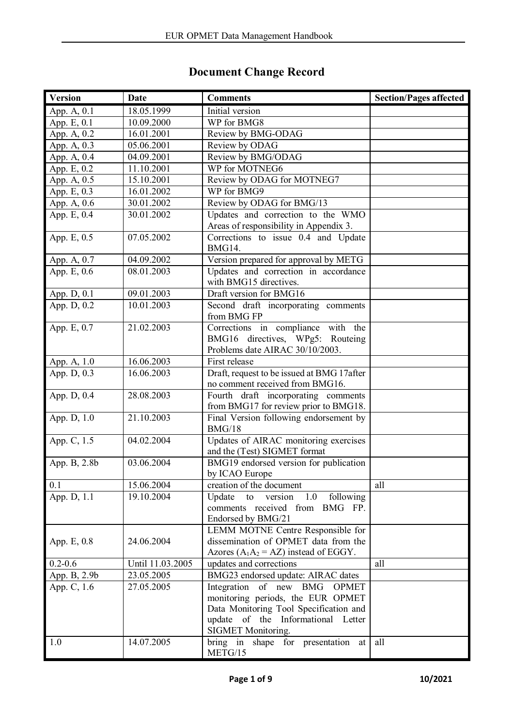## **Document Change Record**

| <b>Version</b>              | Date             | <b>Comments</b>                                                      | <b>Section/Pages affected</b> |
|-----------------------------|------------------|----------------------------------------------------------------------|-------------------------------|
| App. A, 0.1                 | 18.05.1999       | Initial version                                                      |                               |
| App. $E$ , $0.\overline{1}$ | 10.09.2000       | WP for BMG8                                                          |                               |
| App. A, 0.2                 | 16.01.2001       | Review by BMG-ODAG                                                   |                               |
| App. A, 0.3                 | 05.06.2001       | Review by ODAG                                                       |                               |
| App. A, 0.4                 | 04.09.2001       | Review by BMG/ODAG                                                   |                               |
| App. E, 0.2                 | 11.10.2001       | WP for MOTNEG6                                                       |                               |
| App. A, 0.5                 | 15.10.2001       | Review by ODAG for MOTNEG7                                           |                               |
| App. E, 0.3                 | 16.01.2002       | WP for BMG9                                                          |                               |
| App. A, 0.6                 | 30.01.2002       | Review by ODAG for BMG/13                                            |                               |
| App. E, 0.4                 | 30.01.2002       | Updates and correction to the WMO                                    |                               |
|                             |                  | Areas of responsibility in Appendix 3.                               |                               |
| App. E, 0.5                 | 07.05.2002       | Corrections to issue 0.4 and Update                                  |                               |
|                             |                  | BMG14.                                                               |                               |
| App. A, 0.7                 | 04.09.2002       | Version prepared for approval by METG                                |                               |
| App. E, $0.\overline{6}$    | 08.01.2003       | Updates and correction in accordance                                 |                               |
|                             |                  | with BMG15 directives.                                               |                               |
| App. D, 0.1                 | 09.01.2003       | Draft version for BMG16                                              |                               |
| App. D, 0.2                 | 10.01.2003       | Second draft incorporating comments                                  |                               |
|                             |                  | from BMG FP                                                          |                               |
| App. E, 0.7                 | 21.02.2003       | Corrections in compliance with the                                   |                               |
|                             |                  | BMG16 directives, WPg5: Routeing                                     |                               |
|                             |                  | Problems date AIRAC 30/10/2003.                                      |                               |
| App. A, 1.0                 | 16.06.2003       | First release                                                        |                               |
| App. D, 0.3                 | 16.06.2003       | Draft, request to be issued at BMG 17after                           |                               |
|                             |                  | no comment received from BMG16.                                      |                               |
| App. D, 0.4                 | 28.08.2003       | Fourth draft incorporating comments                                  |                               |
|                             |                  | from BMG17 for review prior to BMG18.                                |                               |
| App. D, 1.0                 | 21.10.2003       | Final Version following endorsement by                               |                               |
|                             |                  | BMG/18                                                               |                               |
| App. C, $1.5$               | 04.02.2004       | Updates of AIRAC monitoring exercises                                |                               |
|                             |                  | and the (Test) SIGMET format                                         |                               |
| App. B, 2.8b                | 03.06.2004       | BMG19 endorsed version for publication                               |                               |
|                             |                  | by ICAO Europe                                                       |                               |
| 0.1                         | 15.06.2004       | creation of the document                                             | all                           |
| App. D, 1.1                 | 19.10.2004       | Update to<br>version $1.0$<br>following                              |                               |
|                             |                  | comments received from BMG FP.                                       |                               |
|                             |                  | Endorsed by BMG/21                                                   |                               |
|                             |                  | LEMM MOTNE Centre Responsible for                                    |                               |
| App. E, 0.8                 | 24.06.2004       | dissemination of OPMET data from the                                 |                               |
| $0.2 - 0.6$                 | Until 11.03.2005 | Azores ( $A_1A_2 = AZ$ ) instead of EGGY.<br>updates and corrections | all                           |
|                             | 23.05.2005       |                                                                      |                               |
| App. B, 2.9b                |                  | BMG23 endorsed update: AIRAC dates<br>Integration of new BMG OPMET   |                               |
| App. C, 1.6                 | 27.05.2005       | monitoring periods, the EUR OPMET                                    |                               |
|                             |                  | Data Monitoring Tool Specification and                               |                               |
|                             |                  | update of the Informational Letter                                   |                               |
|                             |                  | SIGMET Monitoring.                                                   |                               |
| 1.0                         | 14.07.2005       | bring in shape for presentation at                                   | all                           |
|                             |                  | METG/15                                                              |                               |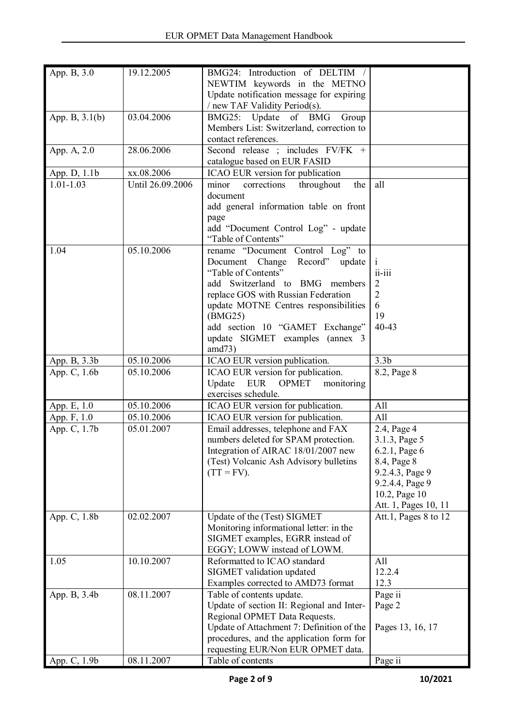| App. B, $3.\overline{0}$ | 19.12.2005       | BMG24: Introduction of DELTIM /           |                      |
|--------------------------|------------------|-------------------------------------------|----------------------|
|                          |                  | NEWTIM keywords in the METNO              |                      |
|                          |                  | Update notification message for expiring  |                      |
|                          |                  | / new TAF Validity Period(s).             |                      |
| App. B, $3.1(b)$         | 03.04.2006       | BMG25: Update of BMG<br>Group             |                      |
|                          |                  | Members List: Switzerland, correction to  |                      |
|                          |                  | contact references.                       |                      |
| App. A, 2.0              | 28.06.2006       | Second release ; includes FV/FK +         |                      |
|                          |                  | catalogue based on EUR FASID              |                      |
| App. D, 1.1b             | xx.08.2006       | ICAO EUR version for publication          |                      |
| $1.01 - 1.03$            | Until 26.09.2006 | corrections<br>throughout<br>minor<br>the | all                  |
|                          |                  | document                                  |                      |
|                          |                  | add general information table on front    |                      |
|                          |                  | page                                      |                      |
|                          |                  | add "Document Control Log" - update       |                      |
|                          |                  | "Table of Contents"                       |                      |
| 1.04                     | 05.10.2006       | rename "Document Control Log" to          |                      |
|                          |                  | Document Change<br>Record" update         | $\mathbf{i}$         |
|                          |                  | "Table of Contents"                       | $ii - iii$           |
|                          |                  | add Switzerland to BMG members            | 2                    |
|                          |                  | replace GOS with Russian Federation       | 2                    |
|                          |                  | update MOTNE Centres responsibilities     | 6                    |
|                          |                  | (BMG25)                                   | 19                   |
|                          |                  | add section 10 "GAMET Exchange"           | 40-43                |
|                          |                  | update SIGMET examples (annex 3           |                      |
|                          |                  | amd73)                                    |                      |
| App. B, 3.3b             | 05.10.2006       | ICAO EUR version publication.             | 3.3 <sub>b</sub>     |
| App. C, 1.6b             | 05.10.2006       | ICAO EUR version for publication.         | 8.2, Page 8          |
|                          |                  | EUR<br>Update<br>OPMET<br>monitoring      |                      |
|                          |                  | exercises schedule.                       |                      |
|                          | 05.10.2006       |                                           | All                  |
| App. E, 1.0              |                  | ICAO EUR version for publication.         |                      |
| App. F, 1.0              | 05.10.2006       | ICAO EUR version for publication.         | All                  |
| App. C, 1.7b             | 05.01.2007       | Email addresses, telephone and FAX        | 2.4, Page 4          |
|                          |                  | numbers deleted for SPAM protection.      | 3.1.3, Page 5        |
|                          |                  | Integration of AIRAC 18/01/2007 new       | 6.2.1, Page 6        |
|                          |                  | (Test) Volcanic Ash Advisory bulletins    | 8.4, Page 8          |
|                          |                  | $(TT = FV)$ .                             | 9.2.4.3, Page 9      |
|                          |                  |                                           | 9.2.4.4, Page 9      |
|                          |                  |                                           | 10.2, Page 10        |
|                          |                  |                                           | Att. 1, Pages 10, 11 |
| App. C, 1.8b             | 02.02.2007       | Update of the (Test) SIGMET               | Att.1, Pages 8 to 12 |
|                          |                  | Monitoring informational letter: in the   |                      |
|                          |                  | SIGMET examples, EGRR instead of          |                      |
|                          |                  | EGGY; LOWW instead of LOWM.               |                      |
| 1.05                     | 10.10.2007       | Reformatted to ICAO standard              | All                  |
|                          |                  | SIGMET validation updated                 | 12.2.4               |
|                          |                  | Examples corrected to AMD73 format        | 12.3                 |
| App. B, 3.4b             | 08.11.2007       | Table of contents update.                 | Page ii              |
|                          |                  | Update of section II: Regional and Inter- | Page 2               |
|                          |                  | Regional OPMET Data Requests.             |                      |
|                          |                  | Update of Attachment 7: Definition of the | Pages 13, 16, 17     |
|                          |                  | procedures, and the application form for  |                      |
|                          |                  | requesting EUR/Non EUR OPMET data.        |                      |
| App. C, 1.9b             | 08.11.2007       | Table of contents                         | Page ii              |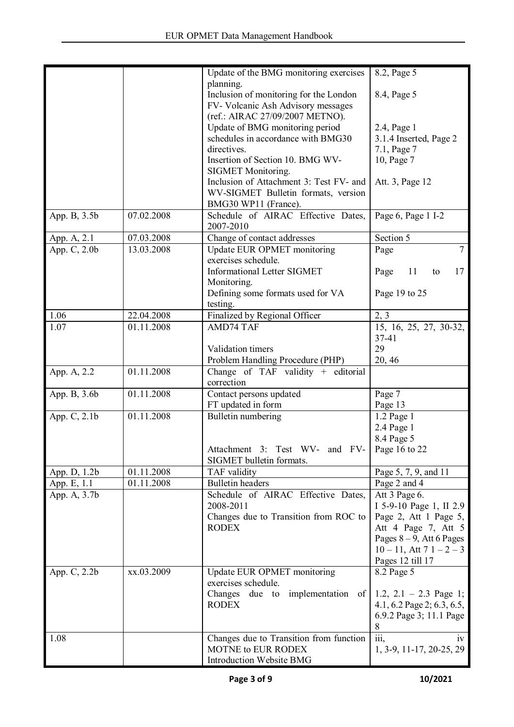|              |            | Update of the BMG monitoring exercises  | 8.2, Page 5                  |
|--------------|------------|-----------------------------------------|------------------------------|
|              |            | planning.                               |                              |
|              |            | Inclusion of monitoring for the London  | 8.4, Page 5                  |
|              |            | FV- Volcanic Ash Advisory messages      |                              |
|              |            | (ref.: AIRAC 27/09/2007 METNO).         |                              |
|              |            | Update of BMG monitoring period         | 2.4, Page 1                  |
|              |            | schedules in accordance with BMG30      | 3.1.4 Inserted, Page 2       |
|              |            | directives.                             | 7.1, Page 7                  |
|              |            | Insertion of Section 10. BMG WV-        | 10, Page 7                   |
|              |            | <b>SIGMET Monitoring.</b>               |                              |
|              |            | Inclusion of Attachment 3: Test FV- and | Att. 3, Page 12              |
|              |            | WV-SIGMET Bulletin formats, version     |                              |
|              |            |                                         |                              |
|              |            | BMG30 WP11 (France).                    |                              |
| App. B, 3.5b | 07.02.2008 | Schedule of AIRAC Effective Dates,      | Page 6, Page 1 I-2           |
|              |            | 2007-2010                               |                              |
| App. A, 2.1  | 07.03.2008 | Change of contact addresses             | Section 5                    |
| App. C, 2.0b | 13.03.2008 | Update EUR OPMET monitoring             | $\overline{7}$<br>Page       |
|              |            | exercises schedule.                     |                              |
|              |            | <b>Informational Letter SIGMET</b>      | Page<br>11<br>17<br>to       |
|              |            | Monitoring.                             |                              |
|              |            | Defining some formats used for VA       | Page 19 to 25                |
|              |            | testing.                                |                              |
| 1.06         | 22.04.2008 | Finalized by Regional Officer           | 2, 3                         |
| 1.07         | 01.11.2008 | <b>AMD74 TAF</b>                        | 15, 16, 25, 27, 30-32,       |
|              |            |                                         | $37 - 41$                    |
|              |            | Validation timers                       | 29                           |
|              |            | Problem Handling Procedure (PHP)        | 20, 46                       |
|              | 01.11.2008 |                                         |                              |
| App. A, 2.2  |            | Change of TAF validity $+$ editorial    |                              |
|              |            | correction                              |                              |
| App. B, 3.6b | 01.11.2008 | Contact persons updated                 | Page 7                       |
|              |            | FT updated in form                      | Page 13                      |
| App. C, 2.1b | 01.11.2008 | Bulletin numbering                      | 1.2 Page 1                   |
|              |            |                                         | 2.4 Page 1                   |
|              |            |                                         | 8.4 Page 5                   |
|              |            | Attachment 3: Test WV- and FV-          | Page 16 to 22                |
|              |            | SIGMET bulletin formats.                |                              |
| App. D, 1.2b | 01.11.2008 | TAF validity                            | Page 5, 7, 9, and 11         |
| App. E, 1.1  | 01.11.2008 | <b>Bulletin</b> headers                 | Page 2 and 4                 |
| App. A, 3.7b |            | Schedule of AIRAC Effective Dates,      | Att 3 Page 6.                |
|              |            | 2008-2011                               | I 5-9-10 Page 1, II 2.9      |
|              |            | Changes due to Transition from ROC to   | Page 2, Att 1 Page 5,        |
|              |            | <b>RODEX</b>                            | Att 4 Page 7, Att 5          |
|              |            |                                         | Pages $8-9$ , Att 6 Pages    |
|              |            |                                         |                              |
|              |            |                                         | $10 - 11$ , Att $71 - 2 - 3$ |
|              |            |                                         | Pages 12 till 17             |
| App. C, 2.2b | xx.03.2009 | Update EUR OPMET monitoring             | 8.2 Page 5                   |
|              |            | exercises schedule.                     |                              |
|              |            | Changes due to implementation of        | 1.2, $2.1 - 2.3$ Page 1;     |
|              |            | <b>RODEX</b>                            | 4.1, 6.2 Page 2; 6.3, 6.5,   |
|              |            |                                         | 6.9.2 Page 3; 11.1 Page      |
|              |            |                                         | 8                            |
| 1.08         |            | Changes due to Transition from function | iii,<br>1V                   |
|              |            | <b>MOTNE to EUR RODEX</b>               | 1, 3-9, 11-17, 20-25, 29     |
|              |            | Introduction Website BMG                |                              |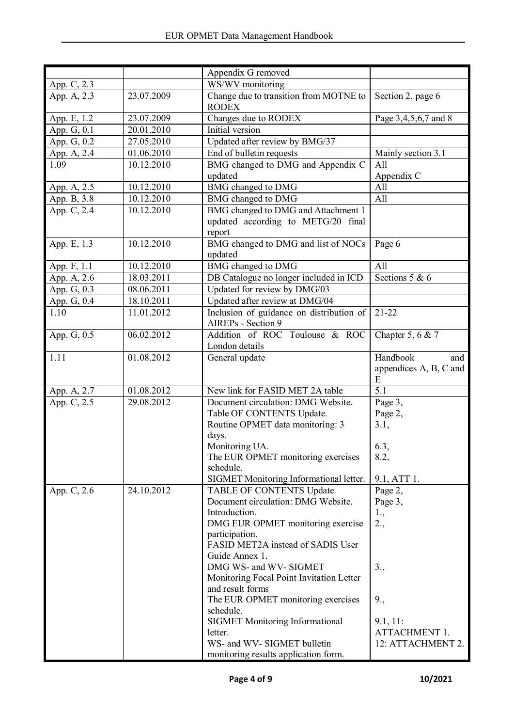|               |            | Appendix G removed                                             |                                                |
|---------------|------------|----------------------------------------------------------------|------------------------------------------------|
| App. C, 2.3   |            | WS/WV monitoring                                               |                                                |
| App. A, 2.3   | 23.07.2009 | Change due to transition from MOTNE to<br><b>RODEX</b>         | Section 2, page 6                              |
| App. E, 1.2   | 23.07.2009 | Changes due to RODEX                                           | Page 3,4,5,6,7 and 8                           |
| App. G, 0.1   | 20.01.2010 | Initial version                                                |                                                |
| App. G, 0.2   | 27.05.2010 | Updated after review by BMG/37                                 |                                                |
| App. A, 2.4   | 01.06.2010 | End of bulletin requests                                       | Mainly section 3.1                             |
| 1.09          | 10.12.2010 | BMG changed to DMG and Appendix C<br>updated                   | All<br>Appendix C                              |
| App. A, 2.5   | 10.12.2010 | <b>BMG</b> changed to DMG                                      | All                                            |
| App. B, 3.8   | 10.12.2010 | BMG changed to DMG                                             | All                                            |
| App. C, 2.4   | 10.12.2010 | BMG changed to DMG and Attachment 1                            |                                                |
|               |            | updated according to METG/20 final<br>report                   |                                                |
| App. E, 1.3   | 10.12.2010 | BMG changed to DMG and list of NOCs<br>updated                 | Page 6                                         |
| App. F, 1.1   | 10.12.2010 | BMG changed to DMG                                             | All                                            |
| App. A, 2.6   | 18.03.2011 | DB Catalogue no longer included in ICD                         | Sections $5 & 6$                               |
| App. G, 0.3   | 08.06.2011 | Updated for review by DMG/03                                   |                                                |
| App. G, 0.4   | 18.10.2011 | Updated after review at DMG/04                                 |                                                |
| 1.10          | 11.01.2012 | Inclusion of guidance on distribution of<br>AIREPs - Section 9 | $21 - 22$                                      |
| App. G, $0.5$ | 06.02.2012 | Addition of ROC Toulouse & ROC<br>London details               | Chapter 5, 6 & 7                               |
| 1.11          | 01.08.2012 | General update                                                 | Handbook<br>and<br>appendices A, B, C and<br>Ε |
| App. A, 2.7   | 01.08.2012 | New link for FASID MET 2A table                                | 5.1                                            |
| App. C, 2.5   | 29.08.2012 | Document circulation: DMG Website.                             | Page 3,                                        |
|               |            | Table OF CONTENTS Update.                                      | Page 2,                                        |
|               |            | Routine OPMET data monitoring: 3<br>days.                      | 3.1,                                           |
|               |            | Monitoring UA.                                                 | 6.3,                                           |
|               |            | The EUR OPMET monitoring exercises                             | 8.2,                                           |
|               |            | schedule.                                                      |                                                |
|               |            | SIGMET Monitoring Informational letter.                        | 9.1, ATT 1.                                    |
| App. C, 2.6   | 24.10.2012 | TABLE OF CONTENTS Update.                                      | Page 2,                                        |
|               |            | Document circulation: DMG Website.                             | Page 3,                                        |
|               |            | Introduction.                                                  | 1.,                                            |
|               |            | DMG EUR OPMET monitoring exercise                              | 2.,                                            |
|               |            | participation.<br>FASID MET2A instead of SADIS User            |                                                |
|               |            | Guide Annex 1.                                                 |                                                |
|               |            | DMG WS- and WV- SIGMET                                         | 3.,                                            |
|               |            | Monitoring Focal Point Invitation Letter                       |                                                |
|               |            | and result forms                                               |                                                |
|               |            | The EUR OPMET monitoring exercises<br>schedule.                | 9.,                                            |
|               |            | <b>SIGMET Monitoring Informational</b>                         | 9.1, 11:                                       |
|               |            | letter.                                                        | <b>ATTACHMENT 1.</b>                           |
|               |            | WS- and WV- SIGMET bulletin                                    | 12: ATTACHMENT 2.                              |
|               |            | monitoring results application form.                           |                                                |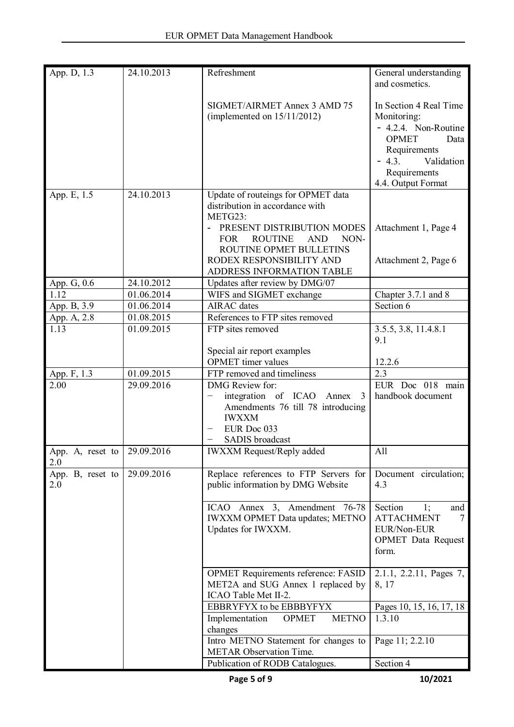| App. D, 1.3             | 24.10.2013 | Refreshment                                                                                                                                                                                     | General understanding<br>and cosmetics.                                                                                                                              |
|-------------------------|------------|-------------------------------------------------------------------------------------------------------------------------------------------------------------------------------------------------|----------------------------------------------------------------------------------------------------------------------------------------------------------------------|
|                         |            | SIGMET/AIRMET Annex 3 AMD 75<br>(implemented on $15/11/2012$ )                                                                                                                                  | In Section 4 Real Time<br>Monitoring:<br>- 4.2.4. Non-Routine<br><b>OPMET</b><br>Data<br>Requirements<br>$-4.3.$<br>Validation<br>Requirements<br>4.4. Output Format |
| App. E, 1.5             | 24.10.2013 | Update of routeings for OPMET data<br>distribution in accordance with<br>METG23:<br>PRESENT DISTRIBUTION MODES<br><b>FOR</b><br><b>ROUTINE</b><br><b>AND</b><br>NON-<br>ROUTINE OPMET BULLETINS | Attachment 1, Page 4                                                                                                                                                 |
|                         |            | RODEX RESPONSIBILITY AND<br>ADDRESS INFORMATION TABLE                                                                                                                                           | Attachment 2, Page 6                                                                                                                                                 |
| App. G, 0.6             | 24.10.2012 | Updates after review by DMG/07                                                                                                                                                                  |                                                                                                                                                                      |
| 1.12                    | 01.06.2014 | WIFS and SIGMET exchange                                                                                                                                                                        | Chapter 3.7.1 and 8                                                                                                                                                  |
| App. B, 3.9             | 01.06.2014 | <b>AIRAC</b> dates                                                                                                                                                                              | Section 6                                                                                                                                                            |
| App. A, 2.8             | 01.08.2015 | References to FTP sites removed                                                                                                                                                                 |                                                                                                                                                                      |
| 1.13                    | 01.09.2015 | FTP sites removed                                                                                                                                                                               | 3.5.5, 3.8, 11.4.8.1<br>9.1                                                                                                                                          |
|                         |            | Special air report examples<br><b>OPMET</b> timer values                                                                                                                                        | 12.2.6                                                                                                                                                               |
| App. F, 1.3             | 01.09.2015 | FTP removed and timeliness                                                                                                                                                                      | 2.3                                                                                                                                                                  |
| 2.00                    | 29.09.2016 | <b>DMG</b> Review for:<br>integration of ICAO<br>Annex<br>3<br>Amendments 76 till 78 introducing<br><b>IWXXM</b><br>EUR Doc 033<br>SADIS broadcast                                              | EUR Doc 018 main<br>handbook document                                                                                                                                |
| App. A, reset to<br>2.0 | 29.09.2016 | <b>IWXXM Request/Reply added</b>                                                                                                                                                                | All                                                                                                                                                                  |
| App. B, reset to<br>2.0 | 29.09.2016 | Replace references to FTP Servers for<br>public information by DMG Website                                                                                                                      | Document circulation;<br>4.3                                                                                                                                         |
|                         |            | ICAO Annex 3, Amendment 76-78<br><b>IWXXM OPMET Data updates; METNO</b><br>Updates for IWXXM.                                                                                                   | Section<br>1;<br>and<br><b>ATTACHMENT</b><br>7<br>EUR/Non-EUR<br><b>OPMET</b> Data Request<br>form.                                                                  |
|                         |            | <b>OPMET Requirements reference: FASID</b><br>MET2A and SUG Annex 1 replaced by<br>ICAO Table Met II-2.                                                                                         | 2.1.1, 2.2.11, Pages 7,<br>8, 17                                                                                                                                     |
|                         |            | EBBRYFYX to be EBBBYFYX<br><b>OPMET</b><br><b>METNO</b><br>Implementation                                                                                                                       | Pages 10, 15, 16, 17, 18<br>1.3.10                                                                                                                                   |
|                         |            | changes<br>Intro METNO Statement for changes to<br><b>METAR Observation Time.</b>                                                                                                               | Page 11; 2.2.10                                                                                                                                                      |
|                         |            | Publication of RODB Catalogues.                                                                                                                                                                 | Section 4                                                                                                                                                            |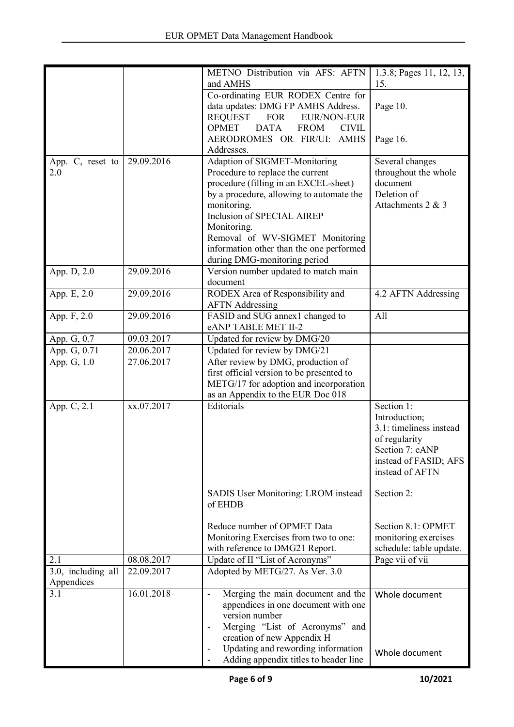|                    |            | METNO Distribution via AFS: AFTN                              | 1.3.8; Pages 11, 12, 13, |
|--------------------|------------|---------------------------------------------------------------|--------------------------|
|                    |            | and AMHS                                                      | 15.                      |
|                    |            | Co-ordinating EUR RODEX Centre for                            |                          |
|                    |            | data updates: DMG FP AMHS Address.                            | Page 10.                 |
|                    |            | <b>REQUEST</b><br><b>FOR</b><br><b>EUR/NON-EUR</b>            |                          |
|                    |            | <b>OPMET</b><br><b>DATA</b><br><b>FROM</b><br><b>CIVIL</b>    |                          |
|                    |            | AERODROMES OR FIR/UI: AMHS                                    | Page 16.                 |
|                    |            | Addresses.                                                    |                          |
| App. C, reset to   | 29.09.2016 | Adaption of SIGMET-Monitoring                                 | Several changes          |
| 2.0                |            | Procedure to replace the current                              | throughout the whole     |
|                    |            | procedure (filling in an EXCEL-sheet)                         | document                 |
|                    |            | by a procedure, allowing to automate the                      | Deletion of              |
|                    |            | monitoring.                                                   | Attachments 2 & 3        |
|                    |            | Inclusion of SPECIAL AIREP                                    |                          |
|                    |            | Monitoring.                                                   |                          |
|                    |            | Removal of WV-SIGMET Monitoring                               |                          |
|                    |            | information other than the one performed                      |                          |
|                    |            | during DMG-monitoring period                                  |                          |
| App. D, 2.0        | 29.09.2016 | Version number updated to match main<br>document              |                          |
|                    |            |                                                               |                          |
| App. E, 2.0        | 29.09.2016 | RODEX Area of Responsibility and                              | 4.2 AFTN Addressing      |
|                    |            | <b>AFTN</b> Addressing                                        |                          |
| App. F, 2.0        | 29.09.2016 | FASID and SUG annex1 changed to                               | All                      |
|                    |            | eANP TABLE MET II-2                                           |                          |
| App. G, 0.7        | 09.03.2017 | Updated for review by DMG/20                                  |                          |
| App. G, 0.71       | 20.06.2017 | Updated for review by DMG/21                                  |                          |
| App. G, 1.0        | 27.06.2017 | After review by DMG, production of                            |                          |
|                    |            | first official version to be presented to                     |                          |
|                    |            | METG/17 for adoption and incorporation                        |                          |
|                    |            | as an Appendix to the EUR Doc 018                             |                          |
| App. C, 2.1        | xx.07.2017 | Editorials                                                    | Section 1:               |
|                    |            |                                                               | Introduction;            |
|                    |            |                                                               | 3.1: timeliness instead  |
|                    |            |                                                               | of regularity            |
|                    |            |                                                               | Section 7: eANP          |
|                    |            |                                                               | instead of FASID; AFS    |
|                    |            |                                                               | instead of AFTN          |
|                    |            |                                                               |                          |
|                    |            | SADIS User Monitoring: LROM instead<br>of EHDB                | Section 2:               |
|                    |            |                                                               |                          |
|                    |            | Reduce number of OPMET Data                                   | Section 8.1: OPMET       |
|                    |            | Monitoring Exercises from two to one:                         | monitoring exercises     |
|                    |            | with reference to DMG21 Report.                               | schedule: table update.  |
| 2.1                | 08.08.2017 | Update of II "List of Acronyms"                               | Page vii of vii          |
| 3.0, including all | 22.09.2017 | Adopted by METG/27. As Ver. 3.0                               |                          |
| Appendices         |            |                                                               |                          |
| 3.1                | 16.01.2018 | Merging the main document and the<br>$\overline{\phantom{a}}$ | Whole document           |
|                    |            | appendices in one document with one                           |                          |
|                    |            | version number                                                |                          |
|                    |            | Merging "List of Acronyms" and                                |                          |
|                    |            | creation of new Appendix H                                    |                          |
|                    |            | Updating and rewording information                            |                          |
|                    |            | Adding appendix titles to header line                         | Whole document           |
|                    |            |                                                               |                          |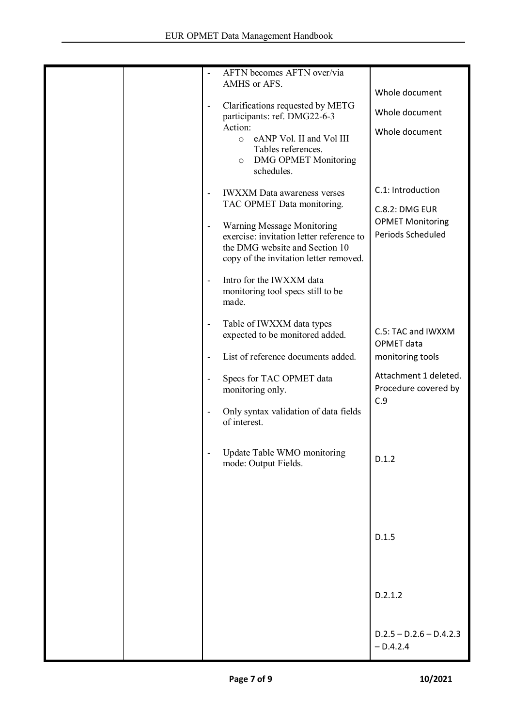| $\overline{\phantom{a}}$     | AFTN becomes AFTN over/via                                       |                           |
|------------------------------|------------------------------------------------------------------|---------------------------|
|                              | AMHS or AFS.                                                     | Whole document            |
|                              |                                                                  |                           |
| $\overline{\phantom{a}}$     | Clarifications requested by METG<br>participants: ref. DMG22-6-3 | Whole document            |
|                              | Action:                                                          |                           |
|                              | eANP Vol. II and Vol III<br>$\circ$                              | Whole document            |
|                              | Tables references.                                               |                           |
|                              | <b>DMG OPMET Monitoring</b><br>$\circ$                           |                           |
|                              | schedules.                                                       |                           |
|                              |                                                                  | C.1: Introduction         |
|                              | <b>IWXXM</b> Data awareness verses                               |                           |
|                              | TAC OPMET Data monitoring.                                       | <b>C.8.2: DMG EUR</b>     |
| $\blacksquare$               | Warning Message Monitoring                                       | <b>OPMET Monitoring</b>   |
|                              | exercise: invitation letter reference to                         | Periods Scheduled         |
|                              | the DMG website and Section 10                                   |                           |
|                              | copy of the invitation letter removed.                           |                           |
|                              |                                                                  |                           |
| $\overline{\phantom{a}}$     | Intro for the IWXXM data                                         |                           |
|                              | monitoring tool specs still to be                                |                           |
|                              | made.                                                            |                           |
|                              | Table of IWXXM data types                                        |                           |
| $\qquad \qquad \blacksquare$ | expected to be monitored added.                                  | C.5: TAC and IWXXM        |
|                              |                                                                  | OPMET data                |
| $\overline{\phantom{a}}$     | List of reference documents added.                               | monitoring tools          |
|                              |                                                                  |                           |
| $\blacksquare$               | Specs for TAC OPMET data                                         | Attachment 1 deleted.     |
|                              | monitoring only.                                                 | Procedure covered by      |
|                              |                                                                  | C.9                       |
|                              | Only syntax validation of data fields<br>of interest.            |                           |
|                              |                                                                  |                           |
|                              |                                                                  |                           |
|                              | Update Table WMO monitoring                                      |                           |
|                              | mode: Output Fields.                                             | D.1.2                     |
|                              |                                                                  |                           |
|                              |                                                                  |                           |
|                              |                                                                  |                           |
|                              |                                                                  |                           |
|                              |                                                                  |                           |
|                              |                                                                  | D.1.5                     |
|                              |                                                                  |                           |
|                              |                                                                  |                           |
|                              |                                                                  |                           |
|                              |                                                                  | D.2.1.2                   |
|                              |                                                                  |                           |
|                              |                                                                  |                           |
|                              |                                                                  |                           |
|                              |                                                                  | $D.2.5 - D.2.6 - D.4.2.3$ |
|                              |                                                                  | $-D.4.2.4$                |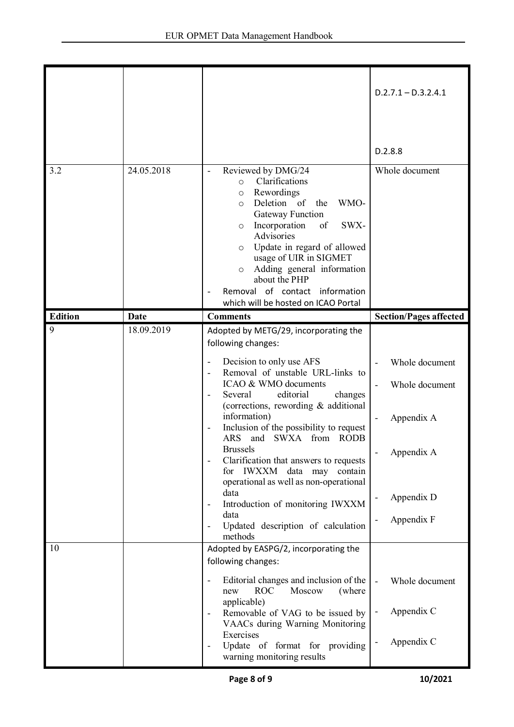|                |             |                                                                                                                                                                                                                                                                                                                                                                                                                                                                                                                                                                                           | $D.2.7.1 - D.3.2.4.1$                                                                                                                      |
|----------------|-------------|-------------------------------------------------------------------------------------------------------------------------------------------------------------------------------------------------------------------------------------------------------------------------------------------------------------------------------------------------------------------------------------------------------------------------------------------------------------------------------------------------------------------------------------------------------------------------------------------|--------------------------------------------------------------------------------------------------------------------------------------------|
|                |             |                                                                                                                                                                                                                                                                                                                                                                                                                                                                                                                                                                                           | D.2.8.8                                                                                                                                    |
| 3.2            | 24.05.2018  | Reviewed by DMG/24<br>Clarifications<br>$\circ$<br>Rewordings<br>$\circ$<br>Deletion of<br>the<br>WMO-<br>$\circ$<br>Gateway Function<br>Incorporation<br>of<br>SWX-<br>$\circ$<br>Advisories<br>Update in regard of allowed<br>$\circ$<br>usage of UIR in SIGMET<br>Adding general information<br>$\circ$<br>about the PHP<br>Removal of contact information<br>which will be hosted on ICAO Portal                                                                                                                                                                                      | Whole document                                                                                                                             |
| <b>Edition</b> | <b>Date</b> | <b>Comments</b>                                                                                                                                                                                                                                                                                                                                                                                                                                                                                                                                                                           | <b>Section/Pages affected</b>                                                                                                              |
| 9              | 18.09.2019  | Adopted by METG/29, incorporating the<br>following changes:<br>Decision to only use AFS<br>Removal of unstable URL-links to<br>ICAO & WMO documents<br>editorial<br>Several<br>changes<br>(corrections, rewording & additional<br>information)<br>Inclusion of the possibility to request<br>ARS and SWXA from RODB<br><b>Brussels</b><br>Clarification that answers to requests<br>for IWXXM data may contain<br>operational as well as non-operational<br>data<br>Introduction of monitoring IWXXM<br>$\overline{\phantom{a}}$<br>data<br>Updated description of calculation<br>methods | Whole document<br>Whole document<br>$\overline{a}$<br>Appendix A<br>Appendix A<br>Appendix D<br>Appendix F<br>$\qquad \qquad \blacksquare$ |
| 10             |             | Adopted by EASPG/2, incorporating the<br>following changes:<br>Editorial changes and inclusion of the<br><b>ROC</b><br>Moscow<br>new<br>(where)<br>applicable)<br>Removable of VAG to be issued by<br>VAACs during Warning Monitoring<br>Exercises<br>Update of format for providing<br>warning monitoring results                                                                                                                                                                                                                                                                        | Whole document<br>$\blacksquare$<br>Appendix C<br>$\overline{\phantom{a}}$<br>Appendix C                                                   |